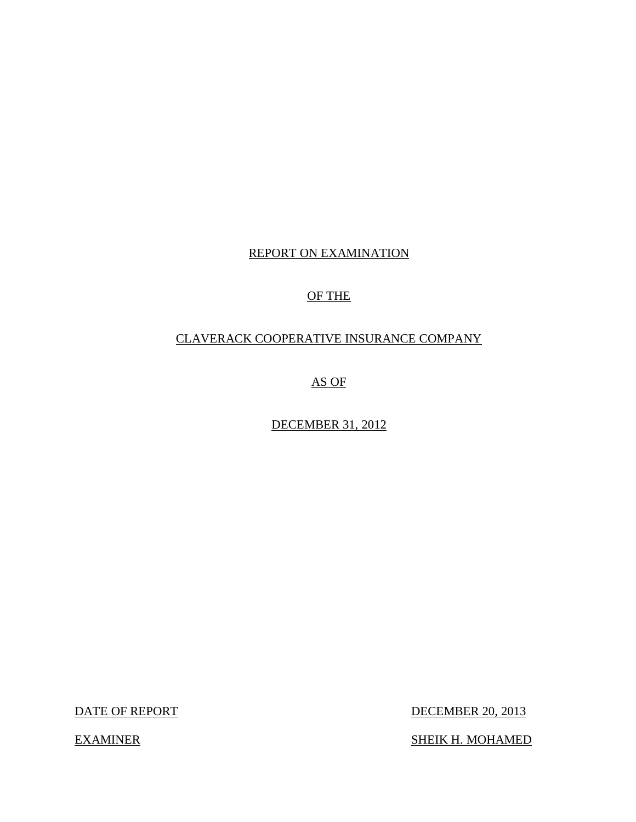# REPORT ON EXAMINATION

### OF THE

# CLAVERACK COOPERATIVE INSURANCE COMPANY

AS OF

DECEMBER 31, 2012

DATE OF REPORT

DECEMBER 20, 2013

SHEIK H. MOHAMED

**EXAMINER**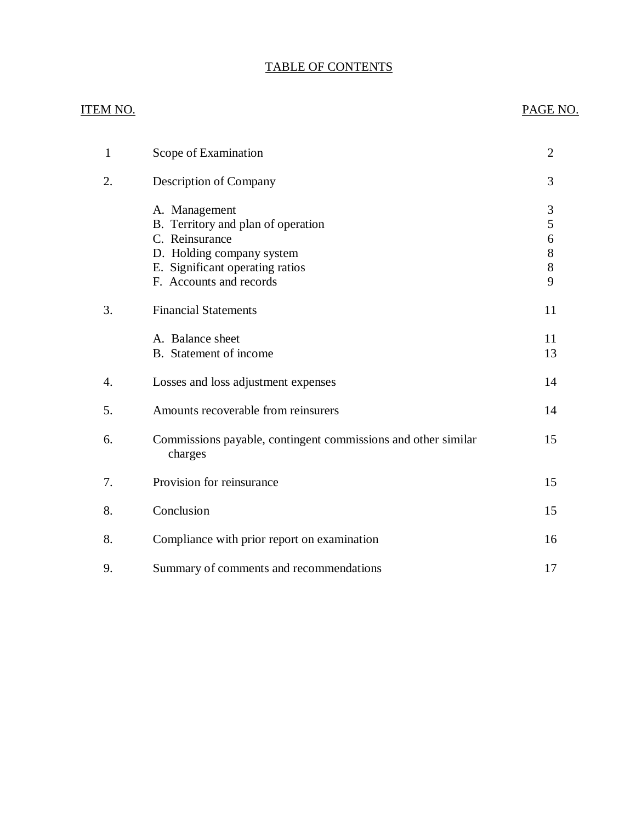### TABLE OF CONTENTS

# **ITEM NO.**

## PAGE NO.

| $\mathbf{1}$ | Scope of Examination                                                                                                                                             | $\overline{2}$                 |
|--------------|------------------------------------------------------------------------------------------------------------------------------------------------------------------|--------------------------------|
| 2.           | Description of Company                                                                                                                                           | 3                              |
|              | A. Management<br>B. Territory and plan of operation<br>C. Reinsurance<br>D. Holding company system<br>E. Significant operating ratios<br>F. Accounts and records | 3<br>5<br>6<br>8<br>$8\,$<br>9 |
| 3.           | <b>Financial Statements</b>                                                                                                                                      | 11                             |
|              | A. Balance sheet<br>B. Statement of income                                                                                                                       | 11<br>13                       |
| 4.           | Losses and loss adjustment expenses                                                                                                                              | 14                             |
| 5.           | Amounts recoverable from reinsurers                                                                                                                              | 14                             |
| 6.           | Commissions payable, contingent commissions and other similar<br>charges                                                                                         | 15                             |
| 7.           | Provision for reinsurance                                                                                                                                        | 15                             |
| 8.           | Conclusion                                                                                                                                                       | 15                             |
| 8.           | Compliance with prior report on examination                                                                                                                      | 16                             |
| 9.           | Summary of comments and recommendations                                                                                                                          | 17                             |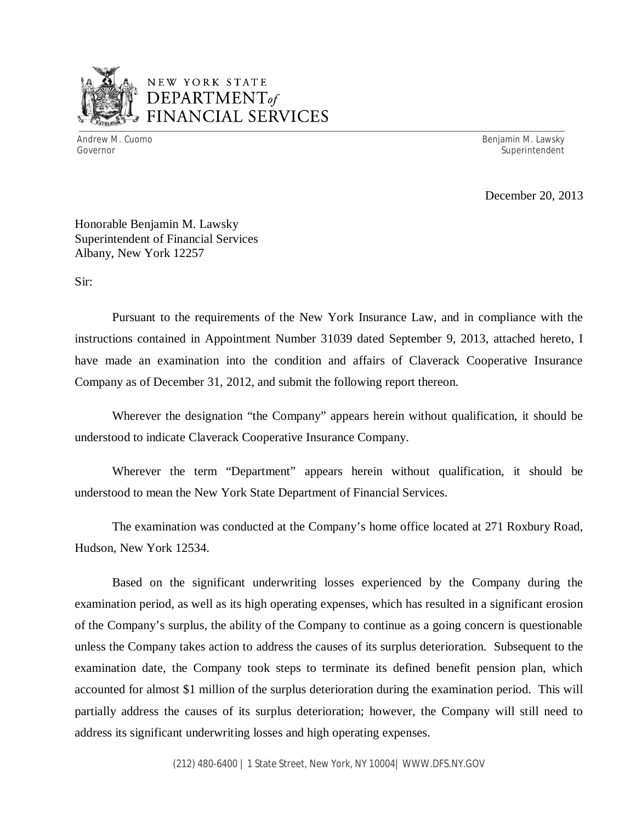

# NEW YORK STATE *DEPARTMENTof*  FINANCIAL SERVICES

Andrew M. Cuomo

Benjamin M. Lawsky Governor Superintendent Superintendent Superintendent Superintendent Superintendent Superintendent Superintendent

December 20, 2013

 Honorable Benjamin M. Lawsky Superintendent of Financial Services Albany, New York 12257

Sir:

 Pursuant to the requirements of the New York Insurance Law, and in compliance with the instructions contained in Appointment Number 31039 dated September 9, 2013, attached hereto, I have made an examination into the condition and affairs of Claverack Cooperative Insurance Company as of December 31, 2012, and submit the following report thereon.

 Wherever the designation "the Company" appears herein without qualification, it should be understood to indicate Claverack Cooperative Insurance Company.

 Wherever the term "Department" appears herein without qualification, it should be understood to mean the New York State Department of Financial Services.

Hudson, New York 12534. The examination was conducted at the Company's home office located at 271 Roxbury Road,

Hudson, New York 12534.<br>Based on the significant underwriting losses experienced by the Company during the examination period, as well as its high operating expenses, which has resulted in a significant erosion of the Company's surplus, the ability of the Company to continue as a going concern is questionable unless the Company takes action to address the causes of its surplus deterioration. Subsequent to the examination date, the Company took steps to terminate its defined benefit pension plan, which accounted for almost \$1 million of the surplus deterioration during the examination period. This will partially address the causes of its surplus deterioration; however, the Company will still need to address its significant underwriting losses and high operating expenses.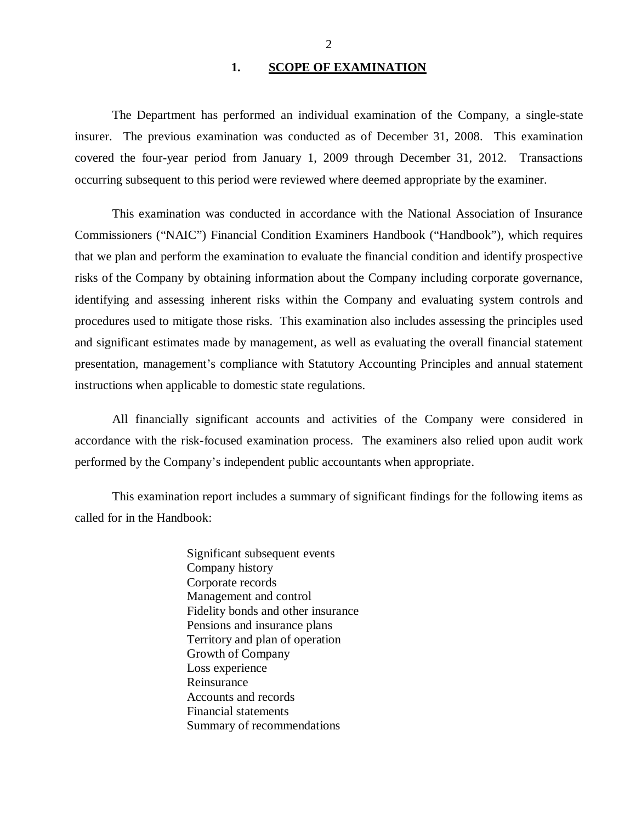### **1. SCOPE OF EXAMINATION**

<span id="page-3-0"></span> insurer. The previous examination was conducted as of December 31, 2008. This examination covered the four-year period from January 1, 2009 through December 31, 2012. Transactions occurring subsequent to this period were reviewed where deemed appropriate by the examiner. The Department has performed an individual examination of the Company*,* a single-state

 Commissioners ("NAIC") Financial Condition Examiners Handbook ("Handbook"), which requires that we plan and perform the examination to evaluate the financial condition and identify prospective risks of the Company by obtaining information about the Company including corporate governance, identifying and assessing inherent risks within the Company and evaluating system controls and procedures used to mitigate those risks. This examination also includes assessing the principles used and significant estimates made by management, as well as evaluating the overall financial statement presentation, management's compliance with Statutory Accounting Principles and annual statement instructions when applicable to domestic state regulations. This examination was conducted in accordance with the National Association of Insurance

 accordance with the risk-focused examination process. The examiners also relied upon audit work performed by the Company's independent public accountants when appropriate. All financially significant accounts and activities of the Company were considered in

 called for in the Handbook: This examination report includes a summary of significant findings for the following items as

> Significant subsequent events Company history Corporate records Management and control Fidelity bonds and other insurance Pensions and insurance plans Territory and plan of operation Growth of Company Loss experience Reinsurance Reinsurance Accounts and records Financial statements Summary of recommendations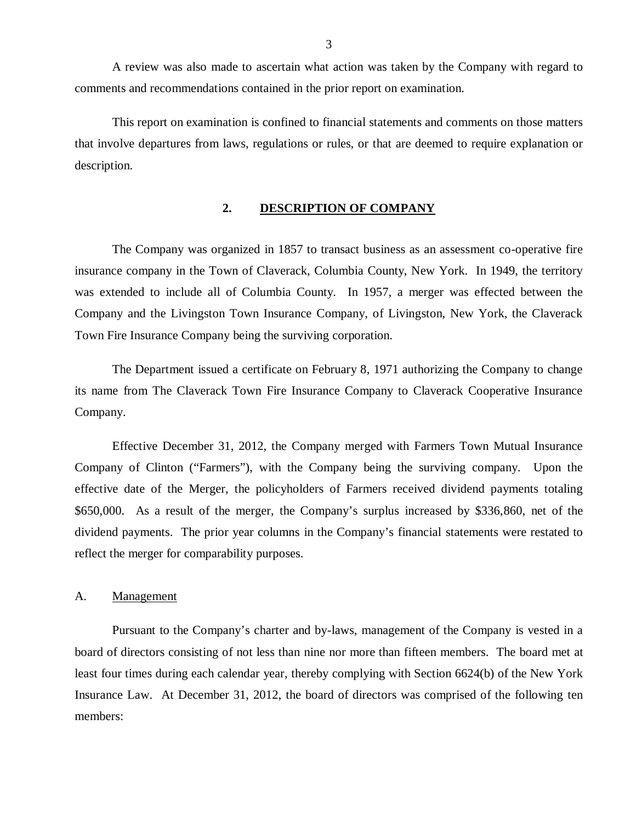<span id="page-4-0"></span> comments and recommendations contained in the prior report on examination. A review was also made to ascertain what action was taken by the Company with regard to

 that involve departures from laws, regulations or rules, or that are deemed to require explanation or This report on examination is confined to financial statements and comments on those matters description.

### **2. DESCRIPTION OF COMPANY**

 The Company was organized in 1857 to transact business as an assessment co-operative fire insurance company in the Town of Claverack, Columbia County, New York. In 1949, the territory was extended to include all of Columbia County. In 1957, a merger was effected between the Company and the Livingston Town Insurance Company, of Livingston, New York, the Claverack Town Fire Insurance Company being the surviving corporation.

 The Department issued a certificate on February 8, 1971 authorizing the Company to change its name from The Claverack Town Fire Insurance Company to Claverack Cooperative Insurance Company.

 Company. Effective December 31, 2012, the Company merged with Farmers Town Mutual Insurance Company of Clinton ("Farmers"), with the Company being the surviving company. Upon the effective date of the Merger, the policyholders of Farmers received dividend payments totaling \$650,000. As a result of the merger, the Company's surplus increased by \$336,860, net of the dividend payments. The prior year columns in the Company's financial statements were restated to reflect the merger for comparability purposes.

### A. Management

 Pursuant to the Company's charter and by-laws, management of the Company is vested in a board of directors consisting of not less than nine nor more than fifteen members. The board met at least four times during each calendar year, thereby complying with Section 6624(b) of the New York Insurance Law. At December 31, 2012, the board of directors was comprised of the following ten members: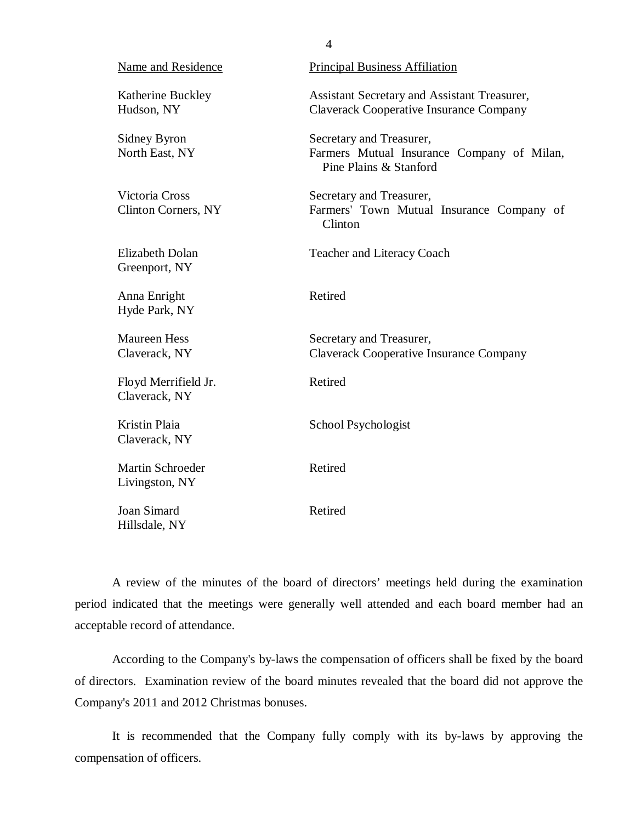| Name and Residence                           | <b>Principal Business Affiliation</b>                                                            |
|----------------------------------------------|--------------------------------------------------------------------------------------------------|
| Katherine Buckley<br>Hudson, NY              | Assistant Secretary and Assistant Treasurer,<br><b>Claverack Cooperative Insurance Company</b>   |
| Sidney Byron<br>North East, NY               | Secretary and Treasurer,<br>Farmers Mutual Insurance Company of Milan,<br>Pine Plains & Stanford |
| Victoria Cross<br><b>Clinton Corners, NY</b> | Secretary and Treasurer,<br>Farmers' Town Mutual Insurance Company of<br>Clinton                 |
| <b>Elizabeth Dolan</b><br>Greenport, NY      | <b>Teacher and Literacy Coach</b>                                                                |
| Anna Enright<br>Hyde Park, NY                | Retired                                                                                          |
| <b>Maureen Hess</b><br>Claverack, NY         | Secretary and Treasurer,<br><b>Claverack Cooperative Insurance Company</b>                       |
| Floyd Merrifield Jr.<br>Claverack, NY        | Retired                                                                                          |
| Kristin Plaia<br>Claverack, NY               | School Psychologist                                                                              |
| Martin Schroeder<br>Livingston, NY           | Retired                                                                                          |
| Joan Simard<br>Hillsdale, NY                 | Retired                                                                                          |

4

 period indicated that the meetings were generally well attended and each board member had an acceptable record of attendance. A review of the minutes of the board of directors' meetings held during the examination

 According to the Company's by-laws the compensation of officers shall be fixed by the board of directors. Examination review of the board minutes revealed that the board did not approve the Company's 2011 and 2012 Christmas bonuses.

 It is recommended that the Company fully comply with its by-laws by approving the compensation of officers.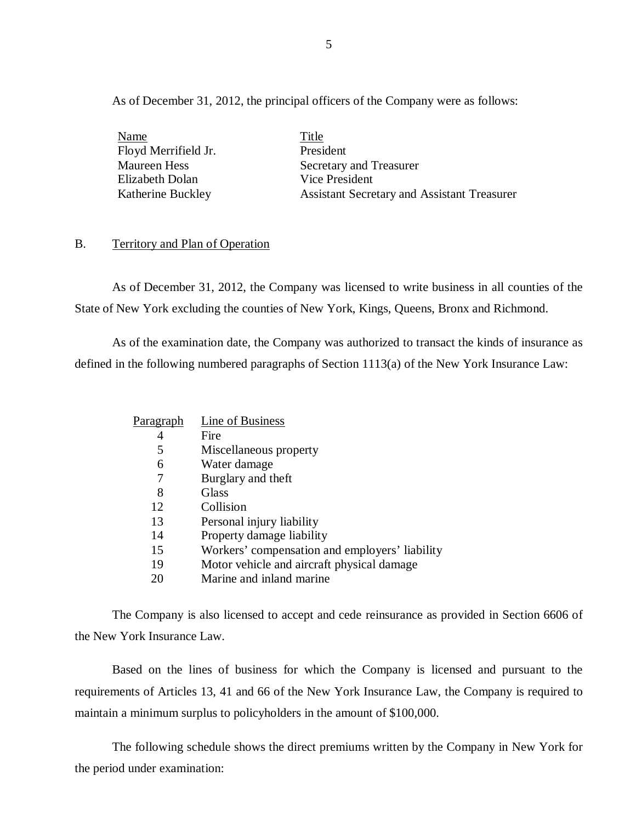<span id="page-6-0"></span>As of December 31, 2012, the principal officers of the Company were as follows:

Maureen Hess Elizabeth Dolan Vice President Katherine Buckley Name Title Floyd Merrifield Jr. President

Secretary and Treasurer Assistant Secretary and Assistant Treasurer

### B. Territory and Plan of Operation

 State of New York excluding the counties of New York, Kings, Queens, Bronx and Richmond. As of December 31, 2012, the Company was licensed to write business in all counties of the

 defined in the following numbered paragraphs of Section 1113(a) of the New York Insurance Law: As of the examination date, the Company was authorized to transact the kinds of insurance as

| Paragraph | Line of Business                               |
|-----------|------------------------------------------------|
| 4         | Fire                                           |
| 5         | Miscellaneous property                         |
| 6         | Water damage                                   |
|           | Burglary and theft                             |
| 8         | Glass                                          |
| 12        | Collision                                      |
| 13        | Personal injury liability                      |
| 14        | Property damage liability                      |
| 15        | Workers' compensation and employers' liability |
| 19        | Motor vehicle and aircraft physical damage     |
| 20        | Marine and inland marine                       |
|           |                                                |

 the New York Insurance Law. The Company is also licensed to accept and cede reinsurance as provided in Section 6606 of

 Based on the lines of business for which the Company is licensed and pursuant to the requirements of Articles 13, 41 and 66 of the New York Insurance Law, the Company is required to maintain a minimum surplus to policyholders in the amount of \$100,000.

The following schedule shows the direct premiums written by the Company in New York for the period under examination: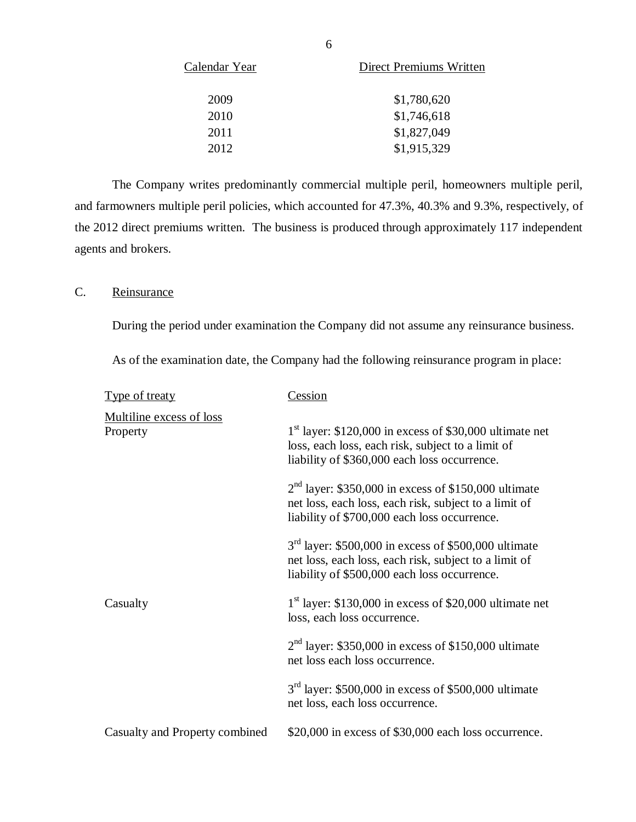| Calendar Year | Direct Premiums Written |
|---------------|-------------------------|
| 2009          | \$1,780,620             |
| 2010          | \$1,746,618             |
| 2011          | \$1,827,049             |
| 2012          | \$1,915,329             |

 and farmowners multiple peril policies, which accounted for 47.3%, 40.3% and 9.3%, respectively, of the 2012 direct premiums written. The business is produced through approximately 117 independent agents and brokers. The Company writes predominantly commercial multiple peril, homeowners multiple peril,

### C. Reinsurance

During the period under examination the Company did not assume any reinsurance business.

As of the examination date, the Company had the following reinsurance program in place:

| <b>Type of treaty</b>                | <b>Cession</b>                                                                                                                                                  |
|--------------------------------------|-----------------------------------------------------------------------------------------------------------------------------------------------------------------|
| Multiline excess of loss<br>Property | $1st$ layer: \$120,000 in excess of \$30,000 ultimate net<br>loss, each loss, each risk, subject to a limit of<br>liability of \$360,000 each loss occurrence.  |
|                                      | $2nd$ layer: \$350,000 in excess of \$150,000 ultimate<br>net loss, each loss, each risk, subject to a limit of<br>liability of \$700,000 each loss occurrence. |
|                                      | $3rd$ layer: \$500,000 in excess of \$500,000 ultimate<br>net loss, each loss, each risk, subject to a limit of<br>liability of \$500,000 each loss occurrence. |
| Casualty                             | $1st$ layer: \$130,000 in excess of \$20,000 ultimate net<br>loss, each loss occurrence.                                                                        |
|                                      | $2nd$ layer: \$350,000 in excess of \$150,000 ultimate<br>net loss each loss occurrence.                                                                        |
|                                      | $3rd$ layer: \$500,000 in excess of \$500,000 ultimate<br>net loss, each loss occurrence.                                                                       |
| Casualty and Property combined       | \$20,000 in excess of \$30,000 each loss occurrence.                                                                                                            |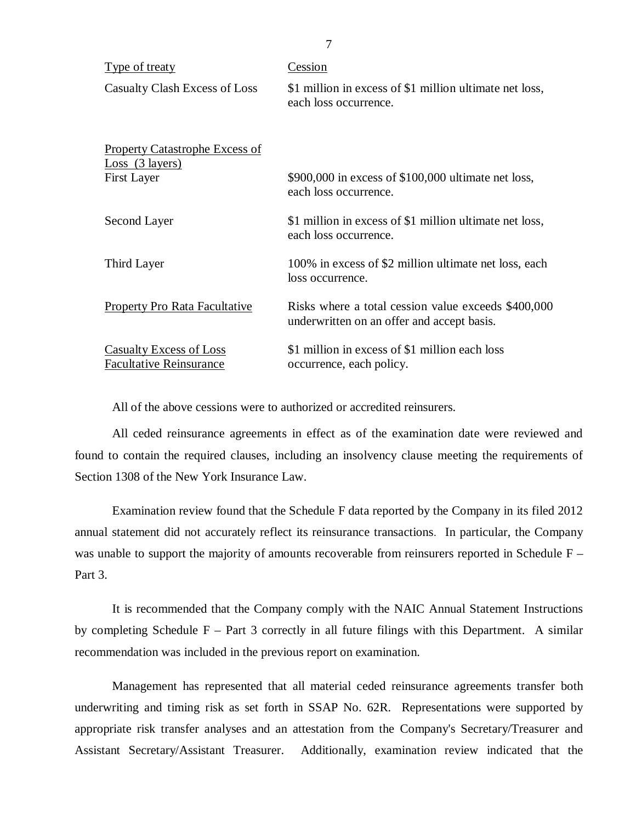| <u>Type of treaty</u>                                            | Cession                                                                                           |
|------------------------------------------------------------------|---------------------------------------------------------------------------------------------------|
| Casualty Clash Excess of Loss                                    | \$1 million in excess of \$1 million ultimate net loss,<br>each loss occurrence.                  |
| <b>Property Catastrophe Excess of</b><br>$Loss$ (3 layers)       |                                                                                                   |
| <b>First Layer</b>                                               | \$900,000 in excess of \$100,000 ultimate net loss,<br>each loss occurrence.                      |
| Second Layer                                                     | \$1 million in excess of \$1 million ultimate net loss,<br>each loss occurrence.                  |
| Third Layer                                                      | 100% in excess of \$2 million ultimate net loss, each<br>loss occurrence.                         |
| <b>Property Pro Rata Facultative</b>                             | Risks where a total cession value exceeds \$400,000<br>underwritten on an offer and accept basis. |
| <b>Casualty Excess of Loss</b><br><b>Facultative Reinsurance</b> | \$1 million in excess of \$1 million each loss<br>occurrence, each policy.                        |

All of the above cessions were to authorized or accredited reinsurers.

 found to contain the required clauses, including an insolvency clause meeting the requirements of Section 1308 of the New York Insurance Law. All ceded reinsurance agreements in effect as of the examination date were reviewed and

 Examination review found that the Schedule F data reported by the Company in its filed 2012 annual statement did not accurately reflect its reinsurance transactions. In particular, the Company was unable to support the majority of amounts recoverable from reinsurers reported in Schedule F – Part 3.

 by completing Schedule F – Part 3 correctly in all future filings with this Department. A similar recommendation was included in the previous report on examination. It is recommended that the Company comply with the NAIC Annual Statement Instructions

 Management has represented that all material ceded reinsurance agreements transfer both underwriting and timing risk as set forth in SSAP No. 62R. Representations were supported by appropriate risk transfer analyses and an attestation from the Company's Secretary/Treasurer and Assistant Secretary/Assistant Treasurer. Additionally, examination review indicated that the

7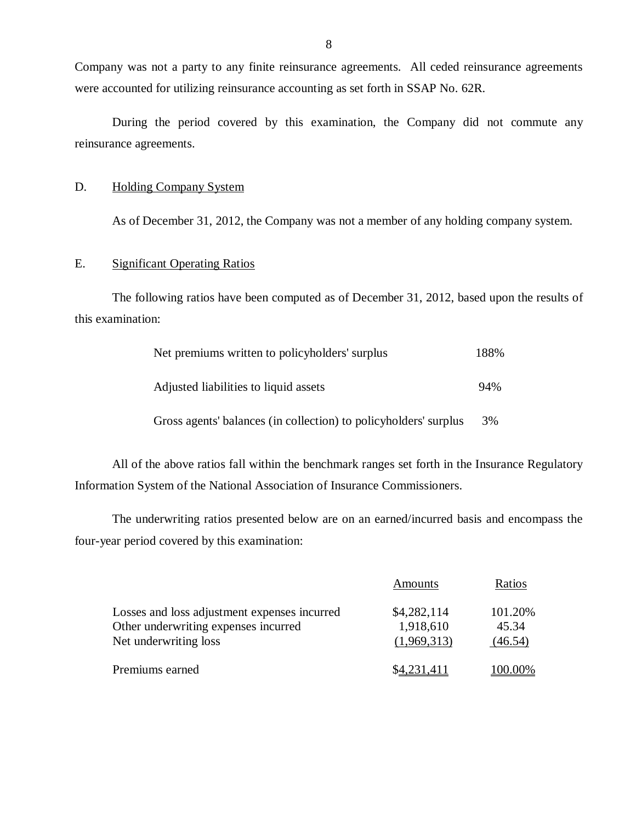Company was not a party to any finite reinsurance agreements. All ceded reinsurance agreements were accounted for utilizing reinsurance accounting as set forth in SSAP No. 62R.

 During the period covered by this examination, the Company did not commute any reinsurance agreements.

### D. Holding Company System

As of December 31, 2012, the Company was not a member of any holding company system.

### E. Significant Operating Ratios

The following ratios have been computed as of December 31, 2012, based upon the results of this examination:

| Net premiums written to policyholders' surplus                   | 188% |
|------------------------------------------------------------------|------|
| Adjusted liabilities to liquid assets                            | 94%  |
| Gross agents' balances (in collection) to policyholders' surplus | 3%   |

 Information System of the National Association of Insurance Commissioners. All of the above ratios fall within the benchmark ranges set forth in the Insurance Regulatory

 four-year period covered by this examination: The underwriting ratios presented below are on an earned/incurred basis and encompass the

|                                                                                                               | Amounts                                 | Ratios                      |
|---------------------------------------------------------------------------------------------------------------|-----------------------------------------|-----------------------------|
| Losses and loss adjustment expenses incurred<br>Other underwriting expenses incurred<br>Net underwriting loss | \$4,282,114<br>1,918,610<br>(1,969,313) | 101.20%<br>45.34<br>(46.54) |
| Premiums earned                                                                                               | \$4.231.411                             | 100.00%                     |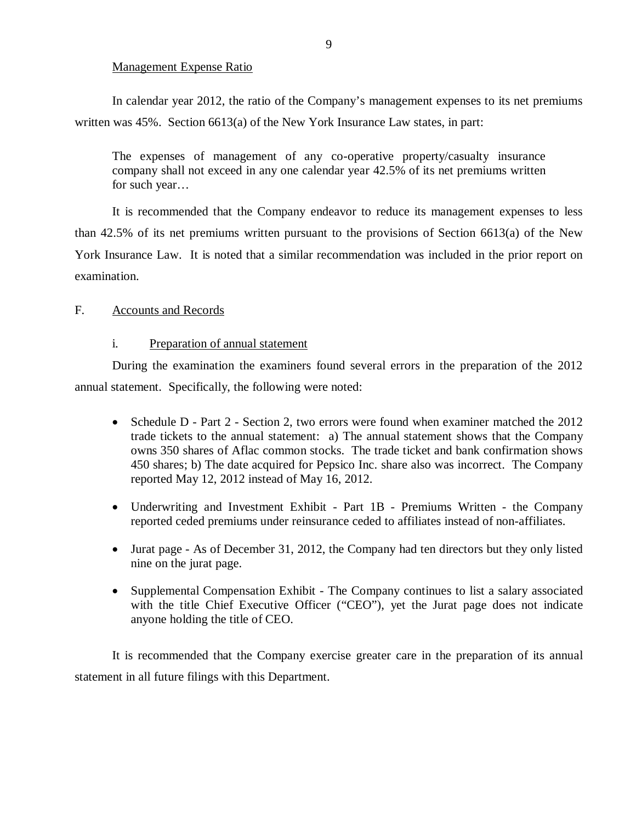### Management Expense Ratio

<span id="page-10-0"></span> written was 45%. Section 6613(a) of the New York Insurance Law states, in part: In calendar year 2012, the ratio of the Company's management expenses to its net premiums

 The expenses of management of any co-operative property/casualty insurance company shall not exceed in any one calendar year 42.5% of its net premiums written for such year…

 than 42.5% of its net premiums written pursuant to the provisions of Section 6613(a) of the New York Insurance Law. It is noted that a similar recommendation was included in the prior report on It is recommended that the Company endeavor to reduce its management expenses to less examination.

### F. Accounts and Records

### i. Preparation of annual statement

 During the examination the examiners found several errors in the preparation of the 2012 annual statement. Specifically, the following were noted:

- Schedule D Part 2 Section 2, two errors were found when examiner matched the 2012 trade tickets to the annual statement: a) The annual statement shows that the Company owns 350 shares of Aflac common stocks. The trade ticket and bank confirmation shows 450 shares; b) The date acquired for Pepsico Inc. share also was incorrect. The Company reported May 12, 2012 instead of May 16, 2012.
- Underwriting and Investment Exhibit Part 1B Premiums Written the Company reported ceded premiums under reinsurance ceded to affiliates instead of non-affiliates.
- Jurat page As of December 31, 2012, the Company had ten directors but they only listed nine on the jurat page.
- Supplemental Compensation Exhibit The Company continues to list a salary associated with the title Chief Executive Officer ("CEO"), yet the Jurat page does not indicate anyone holding the title of CEO.

 It is recommended that the Company exercise greater care in the preparation of its annual statement in all future filings with this Department.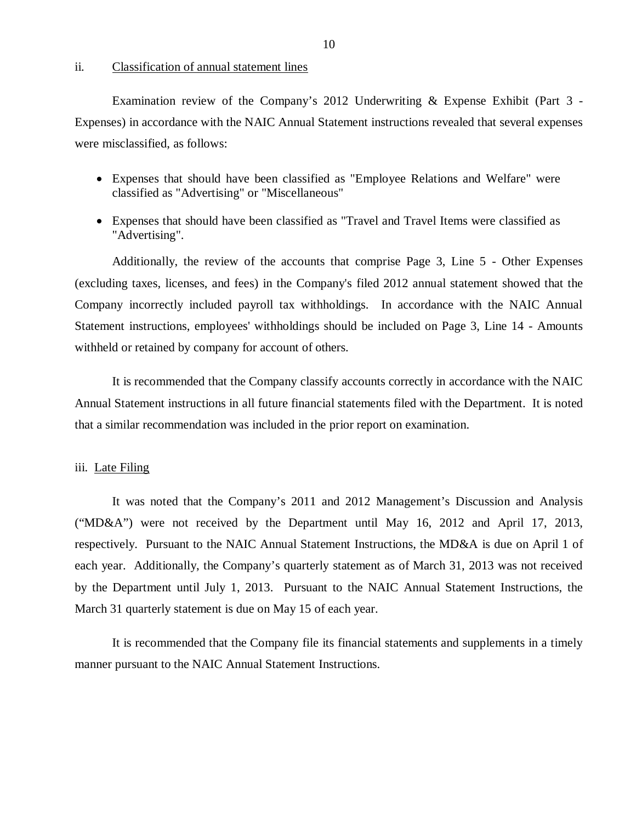### ii. Classification of annual statement lines

 Examination review of the Company's 2012 Underwriting & Expense Exhibit (Part 3 - Expenses) in accordance with the NAIC Annual Statement instructions revealed that several expenses were misclassified, as follows:

- Expenses that should have been classified as "Employee Relations and Welfare" were classified as "Advertising" or "Miscellaneous"
- Expenses that should have been classified as "Travel and Travel Items were classified as "Advertising".

 Additionally, the review of the accounts that comprise Page 3, Line 5 - Other Expenses (excluding taxes, licenses, and fees) in the Company's filed 2012 annual statement showed that the Company incorrectly included payroll tax withholdings. In accordance with the NAIC Annual Statement instructions, employees' withholdings should be included on Page 3, Line 14 - Amounts withheld or retained by company for account of others.

 It is recommended that the Company classify accounts correctly in accordance with the NAIC Annual Statement instructions in all future financial statements filed with the Department. It is noted that a similar recommendation was included in the prior report on examination.

### iii. Late Filing

 ("MD&A") were not received by the Department until May 16, 2012 and April 17, 2013, respectively. Pursuant to the NAIC Annual Statement Instructions, the MD&A is due on April 1 of each year. Additionally, the Company's quarterly statement as of March 31, 2013 was not received by the Department until July 1, 2013. Pursuant to the NAIC Annual Statement Instructions, the March 31 quarterly statement is due on May 15 of each year. It was noted that the Company's 2011 and 2012 Management's Discussion and Analysis

 manner pursuant to the NAIC Annual Statement Instructions. It is recommended that the Company file its financial statements and supplements in a timely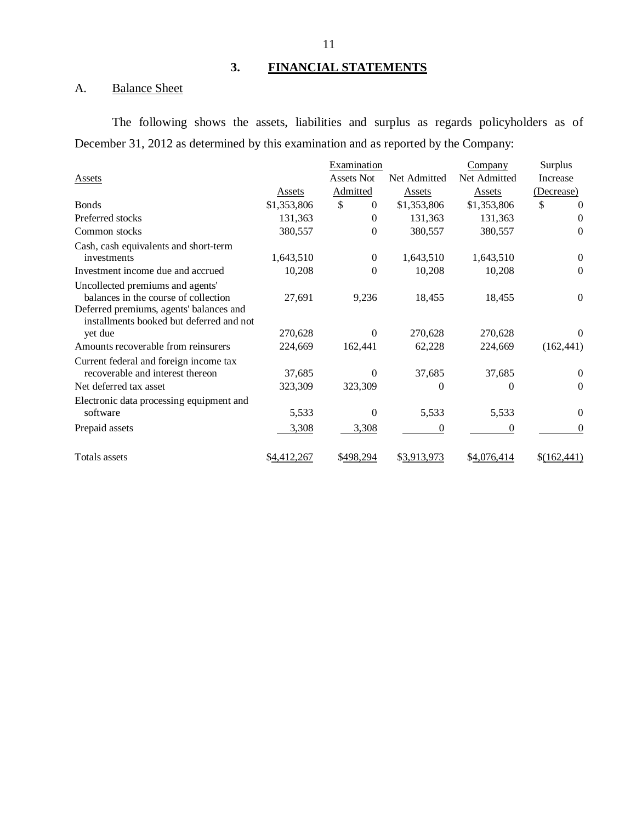## **3. FINANCIAL STATEMENTS**

### A. **Balance Sheet**

 December 31, 2012 as determined by this examination and as reported by the Company: The following shows the assets, liabilities and surplus as regards policyholders as of

|                                          |             | Examination       |              | Company      | Surplus          |
|------------------------------------------|-------------|-------------------|--------------|--------------|------------------|
| Assets                                   |             | <b>Assets Not</b> | Net Admitted | Net Admitted | Increase         |
|                                          | Assets      | Admitted          | Assets       | Assets       | (Decrease)       |
| <b>B</b> onds                            | \$1,353,806 | \$<br>$\Omega$    | \$1,353,806  | \$1,353,806  | \$<br>$\theta$   |
| Preferred stocks                         | 131,363     | $\Omega$          | 131,363      | 131,363      | $\theta$         |
| Common stocks                            | 380,557     | 0                 | 380,557      | 380,557      | $\theta$         |
| Cash, cash equivalents and short-term    |             |                   |              |              |                  |
| investments                              | 1,643,510   | $\boldsymbol{0}$  | 1,643,510    | 1,643,510    | $\theta$         |
| Investment income due and accrued        | 10,208      | 0                 | 10,208       | 10,208       | 0                |
| Uncollected premiums and agents'         |             |                   |              |              |                  |
| balances in the course of collection     | 27,691      | 9,236             | 18,455       | 18,455       | $\boldsymbol{0}$ |
| Deferred premiums, agents' balances and  |             |                   |              |              |                  |
| installments booked but deferred and not |             | $\theta$          |              |              |                  |
| yet due                                  | 270,628     |                   | 270,628      | 270,628      | $\theta$         |
| Amounts recoverable from reinsurers      | 224,669     | 162,441           | 62,228       | 224,669      | (162, 441)       |
| Current federal and foreign income tax   |             |                   |              |              |                  |
| recoverable and interest thereon         | 37,685      | 0                 | 37,685       | 37,685       | 0                |
| Net deferred tax asset                   | 323,309     | 323,309           | 0            | 0            | $\theta$         |
| Electronic data processing equipment and |             |                   |              |              |                  |
| software                                 | 5,533       | 0                 | 5,533        | 5,533        | $\theta$         |
| Prepaid assets                           | 3,308       | 3,308             | $\theta$     | 0            | $\theta$         |
| Totals assets                            | \$4,412,267 | <u>\$498.294</u>  | \$3,913,973  | \$4,076,414  | \$(162,441)      |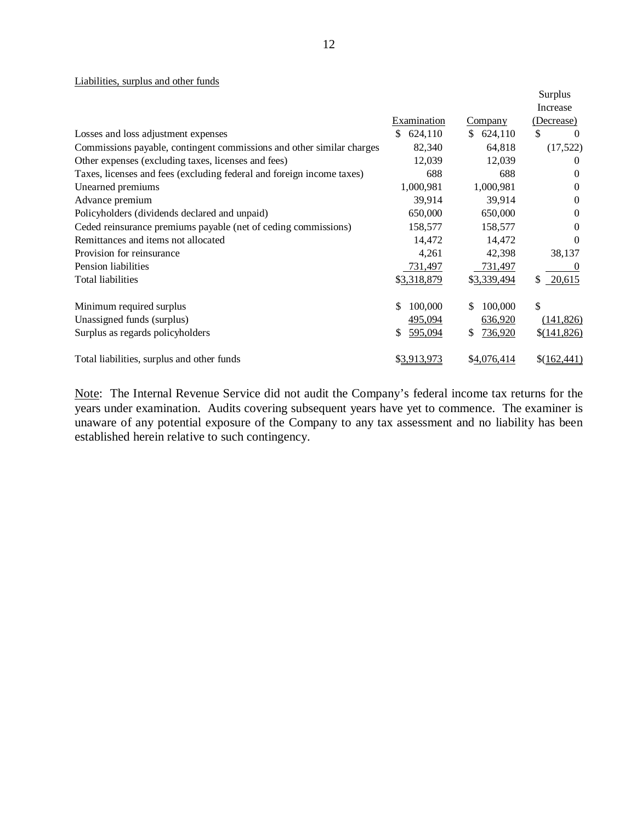### Liabilities, surplus and other funds

|                                                                       |               |                | Surplus<br>Increase |
|-----------------------------------------------------------------------|---------------|----------------|---------------------|
|                                                                       | Examination   | Company        | (Decrease)          |
| Losses and loss adjustment expenses                                   | \$<br>624,110 | 624,110<br>\$. | \$<br>$\theta$      |
| Commissions payable, contingent commissions and other similar charges | 82,340        | 64,818         | (17,522)            |
| Other expenses (excluding taxes, licenses and fees)                   | 12,039        | 12,039         | 0                   |
| Taxes, licenses and fees (excluding federal and foreign income taxes) | 688           | 688            | $\Omega$            |
| Unearned premiums                                                     | 1,000,981     | 1,000,981      | $\Omega$            |
| Advance premium                                                       | 39,914        | 39,914         | $\Omega$            |
| Policyholders (dividends declared and unpaid)                         | 650,000       | 650,000        | $\Omega$            |
| Ceded reinsurance premiums payable (net of ceding commissions)        | 158,577       | 158,577        | $\theta$            |
| Remittances and items not allocated                                   | 14,472        | 14,472         | $\Omega$            |
| Provision for reinsurance                                             | 4,261         | 42,398         | 38,137              |
| Pension liabilities                                                   | 731,497       | 731,497        | $\theta$            |
| Total liabilities                                                     | \$3,318,879   | \$3,339,494    | \$<br>20,615        |
| Minimum required surplus                                              | \$<br>100,000 | 100,000<br>S.  | $\mathbb{S}$        |
| Unassigned funds (surplus)                                            | 495,094       | 636,920        | (141, 826)          |
| Surplus as regards policyholders                                      | 595,094<br>\$ | 736,920<br>S.  | \$(141,826)         |
| Total liabilities, surplus and other funds                            | \$3,913,973   | \$4,076,414    | \$(162,441)         |

Note: The Internal Revenue Service did not audit the Company's federal income tax returns for the years under examination. Audits covering subsequent years have yet to commence. The examiner is unaware of any potential exposure of the Company to any tax assessment and no liability has been established herein relative to such contingency.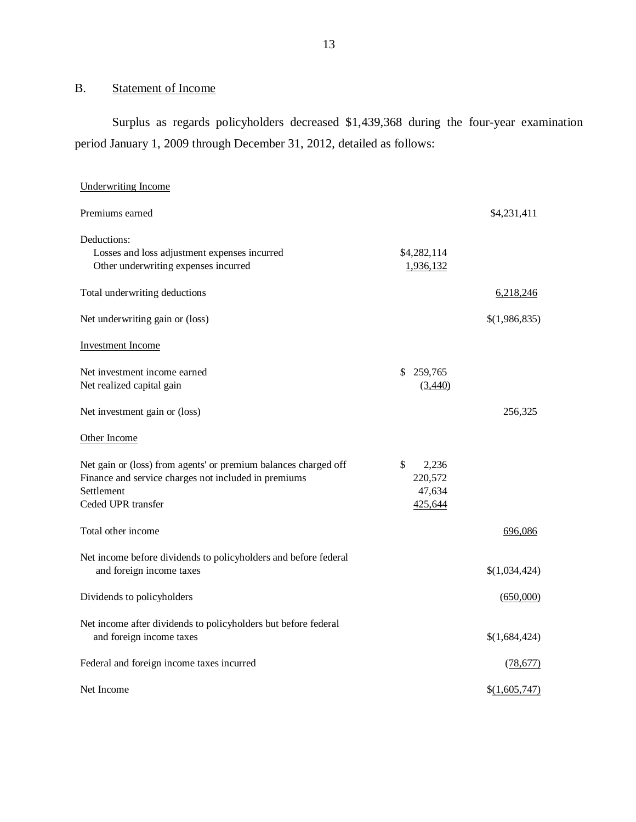### B. Statement of Income

 Surplus as regards policyholders decreased \$1,439,368 during the four-year examination period January 1, 2009 through December 31, 2012, detailed as follows:

| <b>Underwriting Income</b>                                                                                                                                  |                                             |               |
|-------------------------------------------------------------------------------------------------------------------------------------------------------------|---------------------------------------------|---------------|
| Premiums earned                                                                                                                                             |                                             | \$4,231,411   |
| Deductions:<br>Losses and loss adjustment expenses incurred<br>Other underwriting expenses incurred                                                         | \$4,282,114<br>1,936,132                    |               |
| Total underwriting deductions                                                                                                                               |                                             | 6,218,246     |
| Net underwriting gain or (loss)                                                                                                                             |                                             | \$(1,986,835) |
| <b>Investment Income</b>                                                                                                                                    |                                             |               |
| Net investment income earned<br>Net realized capital gain                                                                                                   | 259,765<br>S.<br>(3,440)                    |               |
| Net investment gain or (loss)                                                                                                                               |                                             | 256,325       |
| Other Income                                                                                                                                                |                                             |               |
| Net gain or (loss) from agents' or premium balances charged off<br>Finance and service charges not included in premiums<br>Settlement<br>Ceded UPR transfer | \$<br>2,236<br>220,572<br>47,634<br>425,644 |               |
| Total other income                                                                                                                                          |                                             | 696,086       |
| Net income before dividends to policyholders and before federal<br>and foreign income taxes                                                                 |                                             | \$(1,034,424) |
| Dividends to policyholders                                                                                                                                  |                                             | (650,000)     |
| Net income after dividends to policyholders but before federal<br>and foreign income taxes                                                                  |                                             | \$(1,684,424) |
| Federal and foreign income taxes incurred                                                                                                                   |                                             | (78, 677)     |
| Net Income                                                                                                                                                  |                                             | \$(1,605,747) |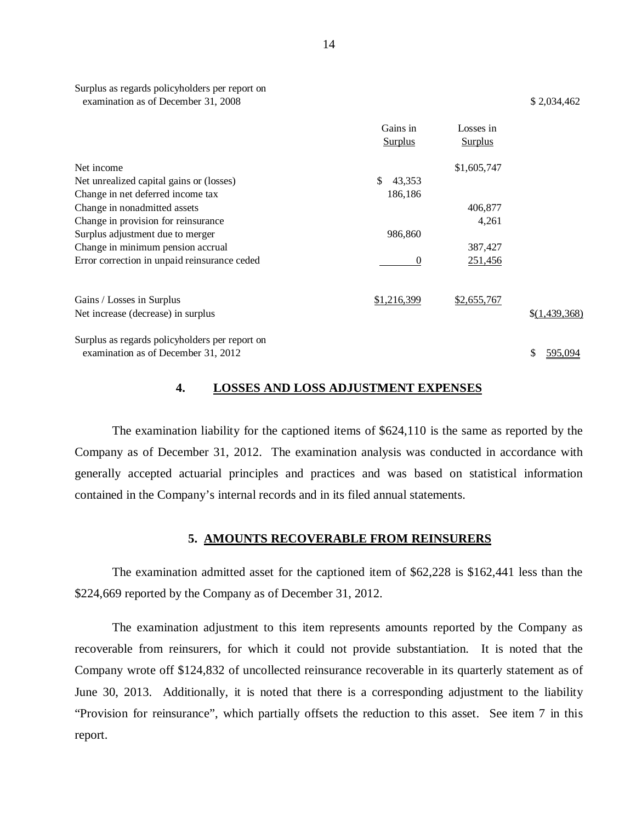| Surplus as regards policyholders per report on |             |
|------------------------------------------------|-------------|
| examination as of December 31, 2008            | \$2,034,462 |

|                                                | Gains in<br>Surplus | Losses in<br>Surplus |               |
|------------------------------------------------|---------------------|----------------------|---------------|
| Net income                                     |                     | \$1,605,747          |               |
| Net unrealized capital gains or (losses)       | \$<br>43,353        |                      |               |
| Change in net deferred income tax              | 186,186             |                      |               |
| Change in nonadmitted assets                   |                     | 406,877              |               |
| Change in provision for reinsurance            |                     | 4,261                |               |
| Surplus adjustment due to merger               | 986,860             |                      |               |
| Change in minimum pension accrual              |                     | 387,427              |               |
| Error correction in unpaid reinsurance ceded   | $\theta$            | 251,456              |               |
| Gains / Losses in Surplus                      | \$1,216,399         | \$2,655,767          |               |
| Net increase (decrease) in surplus             |                     |                      | \$(1,439,368) |
| Surplus as regards policyholders per report on |                     |                      |               |
| examination as of December 31, 2012            |                     |                      | 595,094<br>S  |

### **4. LOSSES AND LOSS ADJUSTMENT EXPENSES**

 Company as of December 31, 2012. The examination analysis was conducted in accordance with generally accepted actuarial principles and practices and was based on statistical information contained in the Company's internal records and in its filed annual statements. The examination liability for the captioned items of \$624,110 is the same as reported by the

### **5. AMOUNTS RECOVERABLE FROM REINSURERS**

 \$224,669 reported by the Company as of December 31, 2012. The examination admitted asset for the captioned item of \$62,228 is \$162,441 less than the

 recoverable from reinsurers, for which it could not provide substantiation. It is noted that the Company wrote off \$124,832 of uncollected reinsurance recoverable in its quarterly statement as of June 30, 2013. Additionally, it is noted that there is a corresponding adjustment to the liability "Provision for reinsurance", which partially offsets the reduction to this asset. See item 7 in this The examination adjustment to this item represents amounts reported by the Company as report.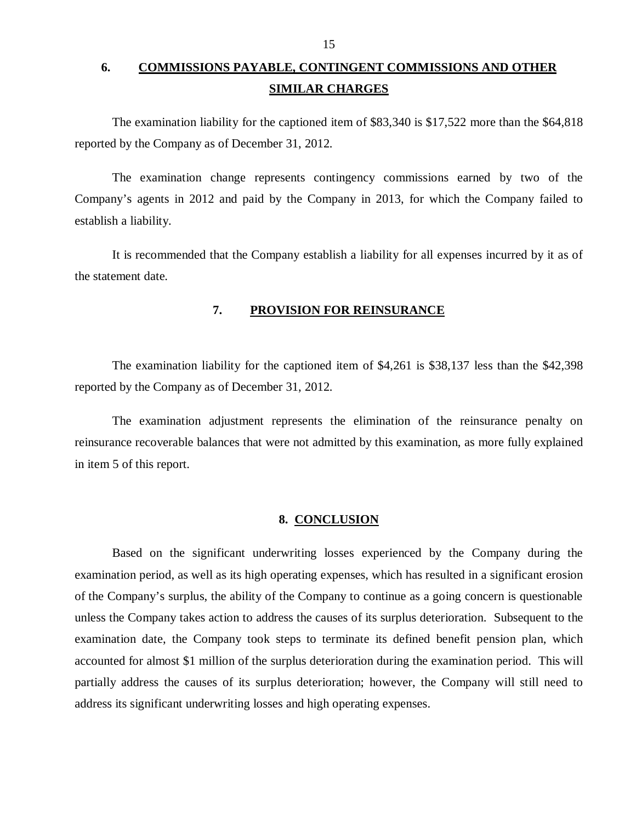# <span id="page-16-0"></span>**6. COMMISSIONS PAYABLE, CONTINGENT COMMISSIONS AND OTHER SIMILAR CHARGES**

 reported by the Company as of December 31, 2012. The examination liability for the captioned item of \$83,340 is \$17,522 more than the \$64,818

 Company's agents in 2012 and paid by the Company in 2013, for which the Company failed to establish a liability. The examination change represents contingency commissions earned by two of the

 the statement date. It is recommended that the Company establish a liability for all expenses incurred by it as of

### **7. PROVISION FOR REINSURANCE**

 reported by the Company as of December 31, 2012. The examination liability for the captioned item of \$4,261 is \$38,137 less than the \$42,398

 reinsurance recoverable balances that were not admitted by this examination, as more fully explained in item 5 of this report. The examination adjustment represents the elimination of the reinsurance penalty on

### **8. CONCLUSION**

 Based on the significant underwriting losses experienced by the Company during the examination period, as well as its high operating expenses, which has resulted in a significant erosion of the Company's surplus, the ability of the Company to continue as a going concern is questionable unless the Company takes action to address the causes of its surplus deterioration. Subsequent to the examination date, the Company took steps to terminate its defined benefit pension plan, which accounted for almost \$1 million of the surplus deterioration during the examination period. This will partially address the causes of its surplus deterioration; however, the Company will still need to address its significant underwriting losses and high operating expenses.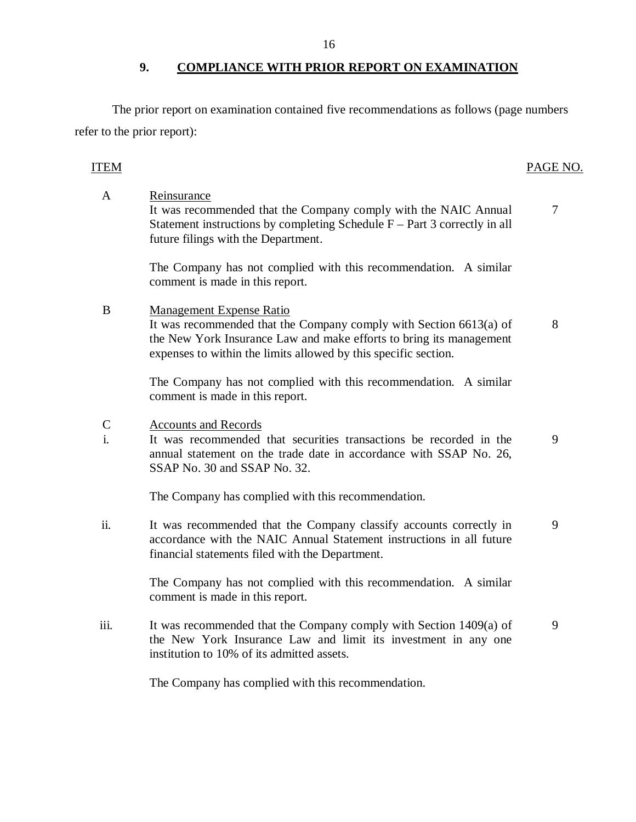The prior report on examination contained five recommendations as follows (page numbers refer to the prior report):

#### PAGE NO. ITEM PAGE NO.

 Statement instructions by completing Schedule F – Part 3 correctly in all future filings with the Department. The Company has not complied with this recommendation. A similar comment is made in this report. B Management Expense Ratio the New York Insurance Law and make efforts to bring its management expenses to within the limits allowed by this specific section. The Company has not complied with this recommendation. A similar comment is made in this report. i. annual statement on the trade date in accordance with SSAP No. 26, SSAP No. 30 and SSAP No. 32. The Company has complied with this recommendation. ii. accordance with the NAIC Annual Statement instructions in all future financial statements filed with the Department. The Company has not complied with this recommendation. A similar comment is made in this report. iii. the New York Insurance Law and limit its investment in any one A Reinsurance It was recommended that the Company comply with the NAIC Annual 7 It was recommended that the Company comply with Section 6613(a) of 8  $\mathcal{C}$ Accounts and Records It was recommended that securities transactions be recorded in the 9 It was recommended that the Company classify accounts correctly in 9 It was recommended that the Company comply with Section 1409(a) of 9

The Company has complied with this recommendation.

institution to 10% of its admitted assets.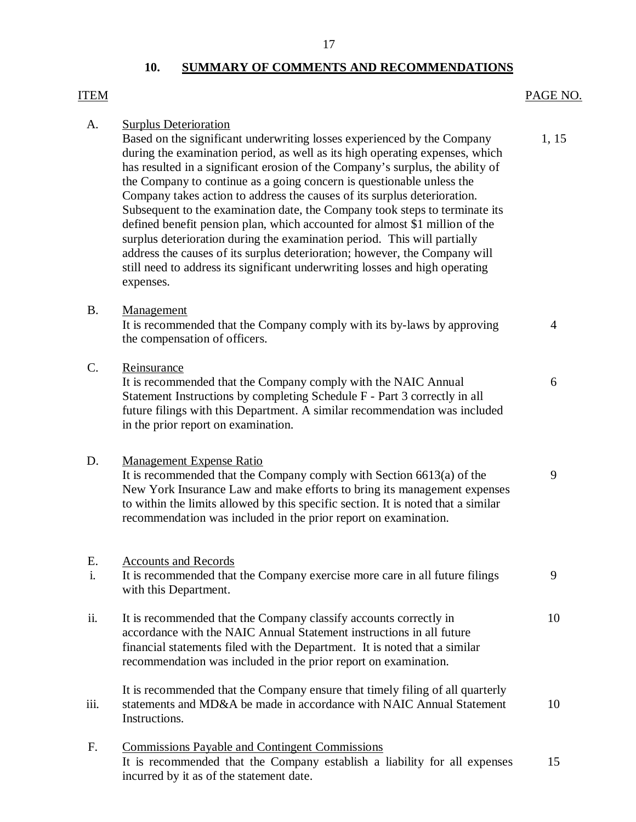### 17

### **10. SUMMARY OF COMMENTS AND RECOMMENDATIONS**

# <span id="page-18-0"></span>PAGE NO.  $A_{\cdot}$ Based on the significant underwriting losses experienced by the Company 1, 15 during the examination period, as well as its high operating expenses, which has resulted in a significant erosion of the Company's surplus, the ability of the Company to continue as a going concern is questionable unless the Company takes action to address the causes of its surplus deterioration. Subsequent to the examination date, the Company took steps to terminate its defined benefit pension plan, which accounted for almost \$1 million of the surplus deterioration during the examination period. This will partially address the causes of its surplus deterioration; however, the Company will still need to address its significant underwriting losses and high operating 1.15 It is recommended that the Company comply with its by-laws by approving 4 the compensation of officers. Reinsurance C. Reinsurance<br>It is recommended that the Company comply with the NAIC Annual 6 Statement Instructions by completing Schedule F - Part 3 correctly in all future filings with this Department. A similar recommendation was included in the prior report on examination. D. Management Expense Ratio It is recommended that the Company comply with Section 6613(a) of the 9 New York Insurance Law and make efforts to bring its management expenses to within the limits allowed by this specific section. It is noted that a similar recommendation was included in the prior report on examination. i. It is recommended that the Company exercise more care in all future filings 9 with this Department. ii. It is recommended that the Company classify accounts correctly in 10 accordance with the NAIC Annual Statement instructions in all future financial statements filed with the Department. It is noted that a similar recommendation was included in the prior report on examination. It is recommended that the Company ensure that timely filing of all quarterly iii. statements and MD&A be made in accordance with NAIC Annual Statement  $10$ F. Commissions Payable and Contingent Commissions It is recommended that the Company establish a liability for all expenses 15 ITEM PAGE NO. **Surplus Deterioration** expenses. B. Management E. Accounts and Records Instructions.

incurred by it as of the statement date.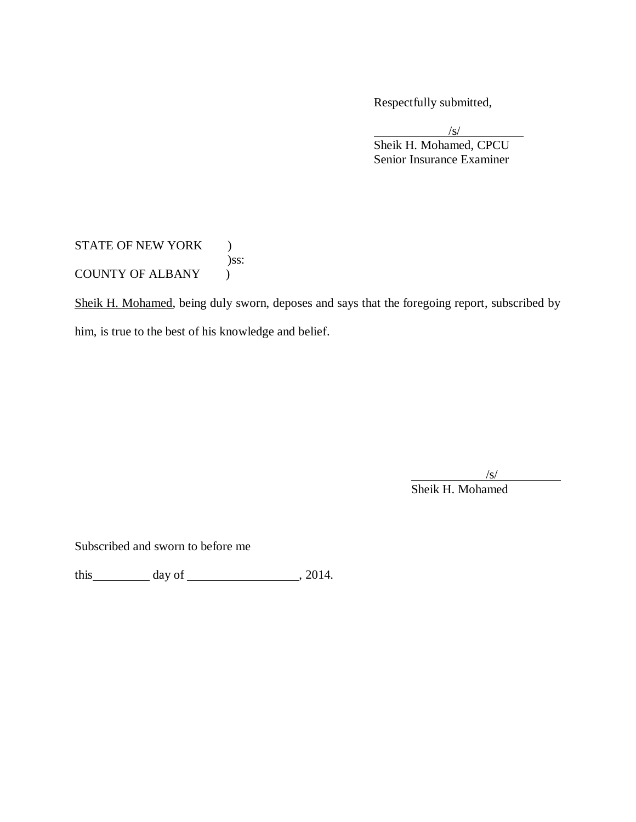Respectfully submitted,

 Senior Insurance Examiner  $\sqrt{s/}$ Sheik H. Mohamed, CPCU

STATE OF NEW YORK ) COUNTY OF ALBANY ) )ss:

Sheik H. Mohamed, being duly sworn, deposes and says that the foregoing report, subscribed by

him, is true to the best of his knowledge and belief.

 $\sqrt{s}$ /

Sheik H. Mohamed

Subscribed and sworn to before me

this  $\frac{day \text{ of } (x,y) - (x,y) \text{ of } (x,y) - (x,y) \text{ of } (x,y) \text{ of } (x,y)$